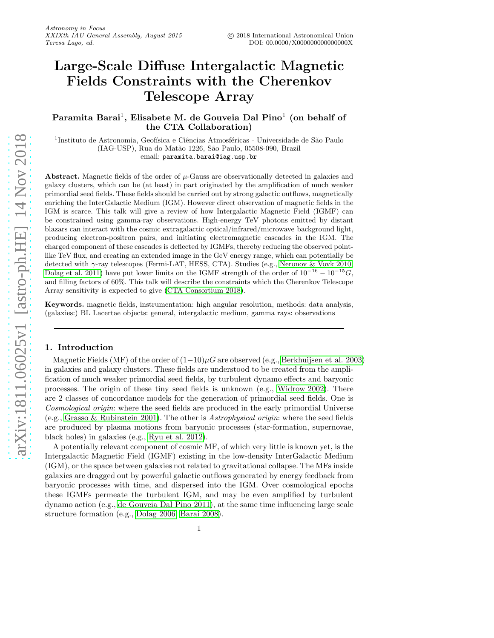# Large-Scale Diffuse Intergalactic Magnetic Fields Constraints with the Cherenkov Telescope Array

Paramita Barai $^1,$  Elisabete M. de Gouveia Dal Pino $^1$  (on behalf of the CTA Collaboration)

 $^1$ Instituto de Astronomia, Geofísica e Ciências Atmosféricas - Universidade de São Paulo (IAG-USP), Rua do Mat˜ao 1226, S˜ao Paulo, 05508-090, Brazil email: paramita.barai@iag.usp.br

Abstract. Magnetic fields of the order of  $\mu$ -Gauss are observationally detected in galaxies and galaxy clusters, which can be (at least) in part originated by the amplification of much weaker primordial seed fields. These fields should be carried out by strong galactic outflows, magnetically enriching the InterGalactic Medium (IGM). However direct observation of magnetic fields in the IGM is scarce. This talk will give a review of how Intergalactic Magnetic Field (IGMF) can be constrained using gamma-ray observations. High-energy TeV photons emitted by distant blazars can interact with the cosmic extragalactic optical/infrared/microwave background light, producing electron-positron pairs, and initiating electromagnetic cascades in the IGM. The charged component of these cascades is deflected by IGMFs, thereby reducing the observed pointlike TeV flux, and creating an extended image in the GeV energy range, which can potentially be detected with γ-ray telescopes (Fermi-LAT, HESS, CTA). Studies (e.g., [Neronov & Vovk 2010,](#page-3-0) [Dolag et al. 2011\)](#page-3-1) have put lower limits on the IGMF strength of the order of  $10^{-16} - 10^{-15}G$ , and filling factors of 60%. This talk will describe the constraints which the Cherenkov Telescope Array sensitivity is expected to give [\(CTA Consortium 2018\)](#page-3-2).

Keywords. magnetic fields, instrumentation: high angular resolution, methods: data analysis, (galaxies:) BL Lacertae objects: general, intergalactic medium, gamma rays: observations

# 1. Introduction

Magnetic Fields (MF) of the order of  $(1-10)\mu G$  are observed (e.g., [Berkhuijsen et al. 2003\)](#page-3-3) in galaxies and galaxy clusters. These fields are understood to be created from the amplification of much weaker primordial seed fields, by turbulent dynamo effects and baryonic processes. The origin of these tiny seed fields is unknown (e.g., [Widrow 2002\)](#page-3-4). There are 2 classes of concordance models for the generation of primordial seed fields. One is Cosmological origin: where the seed fields are produced in the early primordial Universe (e.g., [Grasso & Rubinstein 2001\)](#page-3-5). The other is Astrophysical origin: where the seed fields are produced by plasma motions from baryonic processes (star-formation, supernovae, black holes) in galaxies (e.g., [Ryu et al. 2012\)](#page-3-6).

A potentially relevant component of cosmic MF, of which very little is known yet, is the Intergalactic Magnetic Field (IGMF) existing in the low-density InterGalactic Medium (IGM), or the space between galaxies not related to gravitational collapse. The MFs inside galaxies are dragged out by powerful galactic outflows generated by energy feedback from baryonic processes with time, and dispersed into the IGM. Over cosmological epochs these IGMFs permeate the turbulent IGM, and may be even amplified by turbulent dynamo action (e.g., [de Gouveia Dal Pino 2011\)](#page-3-7), at the same time influencing large scale structure formation (e.g., [Dolag 2006,](#page-3-8) [Barai 2008\)](#page-3-9).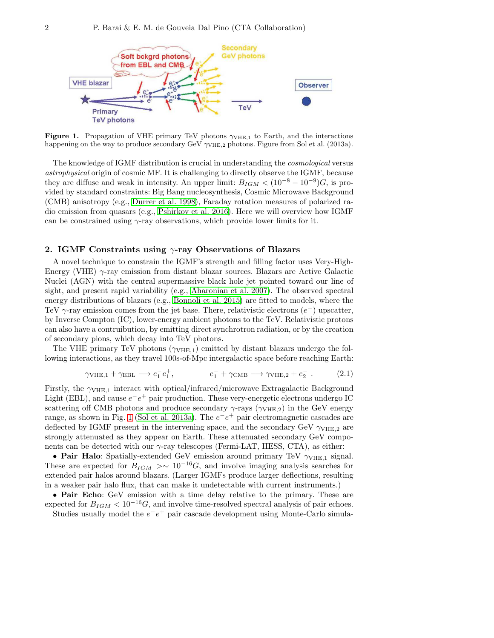

<span id="page-1-0"></span>Figure 1. Propagation of VHE primary TeV photons  $\gamma_{\text{VHE},1}$  to Earth, and the interactions happening on the way to produce secondary GeV  $\gamma_{\text{VHE},2}$  photons. Figure from Sol et al. (2013a).

The knowledge of IGMF distribution is crucial in understanding the cosmological versus astrophysical origin of cosmic MF. It is challenging to directly observe the IGMF, because they are diffuse and weak in intensity. An upper limit:  $B_{IGM} < (10^{-8} - 10^{-9})G$ , is provided by standard constraints: Big Bang nucleosynthesis, Cosmic Microwave Background (CMB) anisotropy (e.g., [Durrer et al. 1998\)](#page-3-10), Faraday rotation measures of polarized radio emission from quasars (e.g., [Pshirkov et al. 2016\)](#page-3-11). Here we will overview how IGMF can be constrained using  $\gamma$ -ray observations, which provide lower limits for it.

## <span id="page-1-1"></span>2. IGMF Constraints using  $\gamma$ -ray Observations of Blazars

A novel technique to constrain the IGMF's strength and filling factor uses Very-High-Energy (VHE)  $\gamma$ -ray emission from distant blazar sources. Blazars are Active Galactic Nuclei (AGN) with the central supermassive black hole jet pointed toward our line of sight, and present rapid variability (e.g., [Aharonian et al. 2007\)](#page-3-12). The observed spectral energy distributions of blazars (e.g., [Bonnoli et al. 2015\)](#page-3-13) are fitted to models, where the TeV  $\gamma$ -ray emission comes from the jet base. There, relativistic electrons  $(e^-)$  upscatter, by Inverse Compton (IC), lower-energy ambient photons to the TeV. Relativistic protons can also have a contruibution, by emitting direct synchrotron radiation, or by the creation of secondary pions, which decay into TeV photons.

The VHE primary TeV photons  $(\gamma_{VHE,1})$  emitted by distant blazars undergo the following interactions, as they travel 100s-of-Mpc intergalactic space before reaching Earth:

$$
\gamma_{\text{VHE},1} + \gamma_{\text{EBL}} \longrightarrow e_1^- e_1^+, \qquad e_1^- + \gamma_{\text{CMB}} \longrightarrow \gamma_{\text{VHE},2} + e_2^- \,. \tag{2.1}
$$

Firstly, the  $\gamma_{\text{VHE},1}$  interact with optical/infrared/microwave Extragalactic Background Light (EBL), and cause  $e^-e^+$  pair production. These very-energetic electrons undergo IC scattering off CMB photons and produce secondary  $\gamma$ -rays ( $\gamma_{VHE,2}$ ) in the GeV energy range, as shown in Fig. [1](#page-1-0) [\(Sol et al. 2013a\)](#page-3-14). The  $e^-e^+$  pair electromagnetic cascades are deflected by IGMF present in the intervening space, and the secondary GeV  $\gamma_{\text{VHE},2}$  are strongly attenuated as they appear on Earth. These attenuated secondary GeV components can be detected with our  $\gamma$ -ray telescopes (Fermi-LAT, HESS, CTA), as either:

• Pair Halo: Spatially-extended GeV emission around primary TeV  $\gamma_{VHE,1}$  signal. These are expected for  $B_{IGM} > \sim 10^{-16} G$ , and involve imaging analysis searches for extended pair halos around blazars. (Larger IGMFs produce larger deflections, resulting in a weaker pair halo flux, that can make it undetectable with current instruments.)

• Pair Echo: GeV emission with a time delay relative to the primary. These are expected for  $B_{IGM} < 10^{-16}$ G, and involve time-resolved spectral analysis of pair echoes. Studies usually model the  $e^-e^+$  pair cascade development using Monte-Carlo simula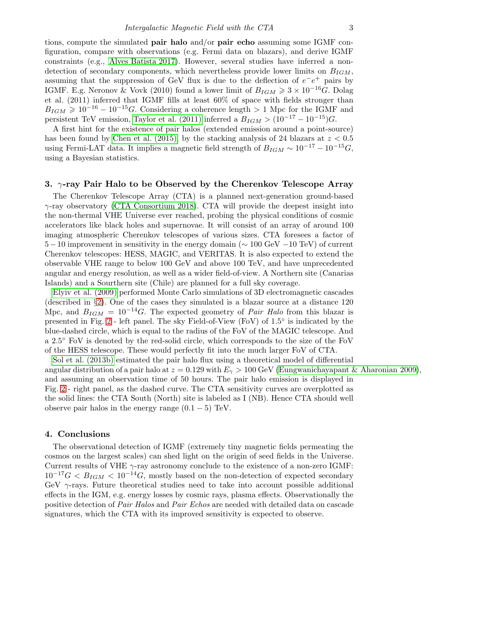tions, compute the simulated pair halo and/or pair echo assuming some IGMF configuration, compare with observations (e.g. Fermi data on blazars), and derive IGMF constraints (e.g., [Alves Batista 2017\)](#page-3-15). However, several studies have inferred a nondetection of secondary components, which nevertheless provide lower limits on  $B_{IGM}$ , assuming that the suppression of GeV flux is due to the deflection of  $e^-e^+$  pairs by IGMF. E.g. Neronov & Vovk (2010) found a lower limit of  $B_{IGM} \geq 3 \times 10^{-16}$  G. Dolag et al. (2011) inferred that IGMF fills at least 60% of space with fields stronger than  $B_{IGM} \geq 10^{-16} - 10^{-15}$ G. Considering a coherence length > 1 Mpc for the IGMF and persistent TeV emission, [Taylor et al. \(2011\)](#page-3-16) inferred a  $B_{IGM} > (10^{-17} - 10^{-15})G$ .

A first hint for the existence of pair halos (extended emission around a point-source) has been found by [Chen et al. \(2015\),](#page-3-17) by the stacking analysis of 24 blazars at  $z < 0.5$ using Fermi-LAT data. It implies a magnetic field strength of  $B_{IGM} \sim 10^{-17} - 10^{-15} G$ , using a Bayesian statistics.

# <span id="page-2-0"></span>3. γ-ray Pair Halo to be Observed by the Cherenkov Telescope Array

The Cherenkov Telescope Array (CTA) is a planned next-generation ground-based  $\gamma$ -ray observatory [\(CTA Consortium 2018\)](#page-3-2). CTA will provide the deepest insight into the non-thermal VHE Universe ever reached, probing the physical conditions of cosmic accelerators like black holes and supernovae. It will consist of an array of around 100 imaging atmospheric Cherenkov telescopes of various sizes. CTA foresees a factor of  $5-10$  improvement in sensitivity in the energy domain ( $\sim 100$  GeV  $-10$  TeV) of current Cherenkov telescopes: HESS, MAGIC, and VERITAS. It is also expected to extend the observable VHE range to below 100 GeV and above 100 TeV, and have unprecedented angular and energy resolution, as well as a wider field-of-view. A Northern site (Canarias Islands) and a Sourthern site (Chile) are planned for a full sky coverage.

[Elyiv et al. \(2009\)](#page-3-18) performed Monte Carlo simulations of 3D electromagnetic cascades (described in §[2\)](#page-1-1). One of the cases they simulated is a blazar source at a distance 120 Mpc, and  $B_{IGM} = 10^{-14} G$ . The expected geometry of *Pair Halo* from this blazar is presented in Fig. [2](#page-3-19) - left panel. The sky Field-of-View (FoV) of 1.5° is indicated by the blue-dashed circle, which is equal to the radius of the FoV of the MAGIC telescope. And a 2.5° FoV is denoted by the red-solid circle, which corresponds to the size of the FoV of the HESS telescope. These would perfectly fit into the much larger FoV of CTA.

[Sol et al. \(2013b\)](#page-3-20) estimated the pair halo flux using a theoretical model of differential angular distribution of a pair halo at  $z = 0.129$  with  $E<sub>\gamma</sub> > 100$  GeV [\(Eungwanichayapant & Aharonian 2009\)](#page-3-21), and assuming an observation time of 50 hours. The pair halo emission is displayed in Fig. [2](#page-3-19) - right panel, as the dashed curve. The CTA sensitivity curves are overplotted as the solid lines: the CTA South (North) site is labeled as I (NB). Hence CTA should well observe pair halos in the energy range  $(0.1 - 5)$  TeV.

#### 4. Conclusions

The observational detection of IGMF (extremely tiny magnetic fields permeating the cosmos on the largest scales) can shed light on the origin of seed fields in the Universe. Current results of VHE  $\gamma$ -ray astronomy conclude to the existence of a non-zero IGMF:  $10^{-17}G < B_{IGM} < 10^{-14}G$ , mostly based on the non-detection of expected secondary GeV  $\gamma$ -rays. Future theoretical studies need to take into account possible additional effects in the IGM, e.g. energy losses by cosmic rays, plasma effects. Observationally the positive detection of Pair Halos and Pair Echos are needed with detailed data on cascade signatures, which the CTA with its improved sensitivity is expected to observe.